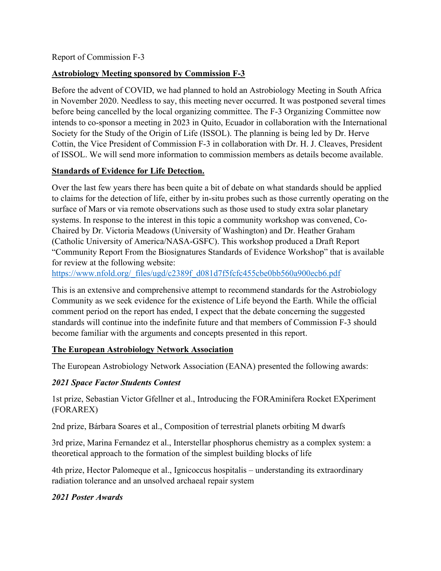Report of Commission F-3

## **Astrobiology Meeting sponsored by Commission F-3**

Before the advent of COVID, we had planned to hold an Astrobiology Meeting in South Africa in November 2020. Needless to say, this meeting never occurred. It was postponed several times before being cancelled by the local organizing committee. The F-3 Organizing Committee now intends to co-sponsor a meeting in 2023 in Quito, Ecuador in collaboration with the International Society for the Study of the Origin of Life (ISSOL). The planning is being led by Dr. Herve Cottin, the Vice President of Commission F-3 in collaboration with Dr. H. J. Cleaves, President of ISSOL. We will send more information to commission members as details become available.

### **Standards of Evidence for Life Detection.**

Over the last few years there has been quite a bit of debate on what standards should be applied to claims for the detection of life, either by in-situ probes such as those currently operating on the surface of Mars or via remote observations such as those used to study extra solar planetary systems. In response to the interest in this topic a community workshop was convened, Co-Chaired by Dr. Victoria Meadows (University of Washington) and Dr. Heather Graham (Catholic University of America/NASA-GSFC). This workshop produced a Draft Report "Community Report From the Biosignatures Standards of Evidence Workshop" that is available for review at the following website:

https://www.nfold.org/\_files/ugd/c2389f\_d081d7f5fcfc455cbe0bb560a900ecb6.pdf

This is an extensive and comprehensive attempt to recommend standards for the Astrobiology Community as we seek evidence for the existence of Life beyond the Earth. While the official comment period on the report has ended, I expect that the debate concerning the suggested standards will continue into the indefinite future and that members of Commission F-3 should become familiar with the arguments and concepts presented in this report.

### **The European Astrobiology Network Association**

The European Astrobiology Network Association (EANA) presented the following awards:

### *2021 Space Factor Students Contest*

1st prize, Sebastian Victor Gfellner et al., Introducing the FORAminifera Rocket EXperiment (FORAREX)

2nd prize, Bárbara Soares et al., Composition of terrestrial planets orbiting M dwarfs

3rd prize, Marina Fernandez et al., Interstellar phosphorus chemistry as a complex system: a theoretical approach to the formation of the simplest building blocks of life

4th prize, Hector Palomeque et al., Ignicoccus hospitalis – understanding its extraordinary radiation tolerance and an unsolved archaeal repair system

### *2021 Poster Awards*